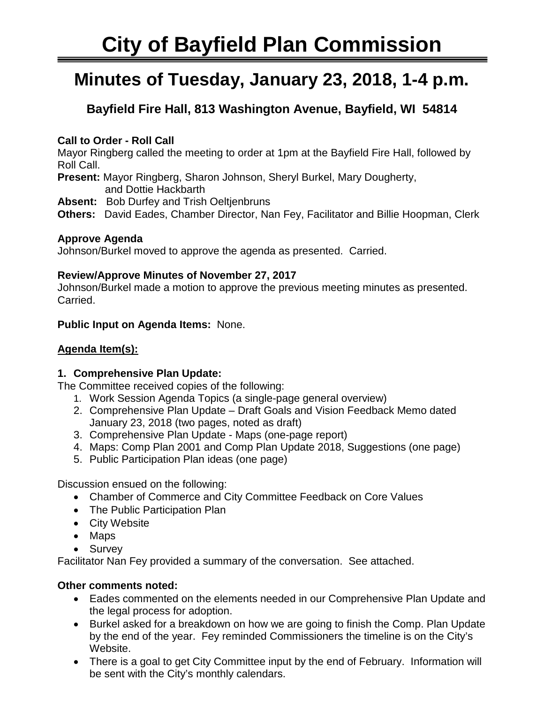# **City of Bayfield Plan Commission**

## **Minutes of Tuesday, January 23, 2018, 1-4 p.m.**

### **Bayfield Fire Hall, 813 Washington Avenue, Bayfield, WI 54814**

#### **Call to Order - Roll Call**

Mayor Ringberg called the meeting to order at 1pm at the Bayfield Fire Hall, followed by Roll Call.

**Present:** Mayor Ringberg, Sharon Johnson, Sheryl Burkel, Mary Dougherty, and Dottie Hackbarth

**Absent:** Bob Durfey and Trish Oeltjenbruns

**Others:** David Eades, Chamber Director, Nan Fey, Facilitator and Billie Hoopman, Clerk

#### **Approve Agenda**

Johnson/Burkel moved to approve the agenda as presented. Carried.

#### **Review/Approve Minutes of November 27, 2017**

Johnson/Burkel made a motion to approve the previous meeting minutes as presented. Carried.

#### **Public Input on Agenda Items:** None.

#### **Agenda Item(s):**

#### **1. Comprehensive Plan Update:**

The Committee received copies of the following:

- 1. Work Session Agenda Topics (a single-page general overview)
- 2. Comprehensive Plan Update Draft Goals and Vision Feedback Memo dated January 23, 2018 (two pages, noted as draft)
- 3. Comprehensive Plan Update Maps (one-page report)
- 4. Maps: Comp Plan 2001 and Comp Plan Update 2018, Suggestions (one page)
- 5. Public Participation Plan ideas (one page)

Discussion ensued on the following:

- Chamber of Commerce and City Committee Feedback on Core Values
- The Public Participation Plan
- City Website
- Maps
- Survey

Facilitator Nan Fey provided a summary of the conversation. See attached.

#### **Other comments noted:**

- Eades commented on the elements needed in our Comprehensive Plan Update and the legal process for adoption.
- Burkel asked for a breakdown on how we are going to finish the Comp. Plan Update by the end of the year. Fey reminded Commissioners the timeline is on the City's Website.
- There is a goal to get City Committee input by the end of February. Information will be sent with the City's monthly calendars.